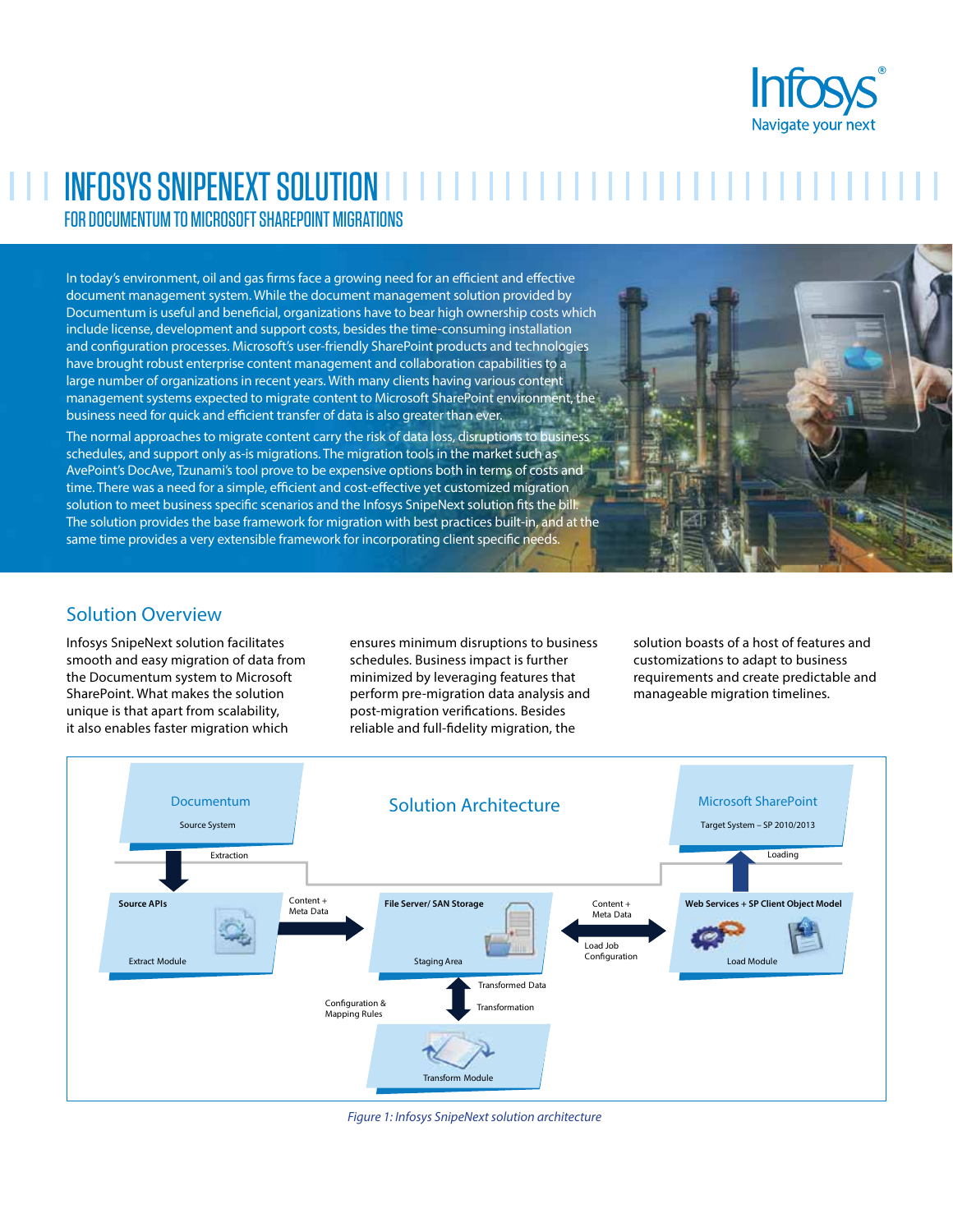

# **INFOSYS SNIPENEXT SOLUTION IN THE INFORMATION IN THE INFORMATION** FOR DOCUMENTUM TO MICROSOFT SHAREPOINT MIGRATIONS

In today's environment, oil and gas firms face a growing need for an efficient and effective document management system. While the document management solution provided by Documentum is useful and beneficial, organizations have to bear high ownership costs which include license, development and support costs, besides the time-consuming installation and configuration processes. Microsoft's user-friendly SharePoint products and technologies have brought robust enterprise content management and collaboration capabilities to a large number of organizations in recent years. With many clients having various content management systems expected to migrate content to Microsoft SharePoint environment, the business need for quick and efficient transfer of data is also greater than ever.

The normal approaches to migrate content carry the risk of data loss, disruptions to business schedules, and support only as-is migrations. The migration tools in the market such as AvePoint's DocAve, Tzunami's tool prove to be expensive options both in terms of costs and time. There was a need for a simple, efficient and cost-effective yet customized migration solution to meet business specific scenarios and the Infosys SnipeNext solution fits the bill. The solution provides the base framework for migration with best practices built-in, and at the same time provides a very extensible framework for incorporating client specific needs.



## Solution Overview

Infosys SnipeNext solution facilitates smooth and easy migration of data from the Documentum system to Microsoft SharePoint. What makes the solution unique is that apart from scalability, it also enables faster migration which

ensures minimum disruptions to business schedules. Business impact is further minimized by leveraging features that perform pre-migration data analysis and post-migration verifications. Besides reliable and full-fidelity migration, the

solution boasts of a host of features and customizations to adapt to business requirements and create predictable and manageable migration timelines.



*Figure 1: Infosys SnipeNext solution architecture*